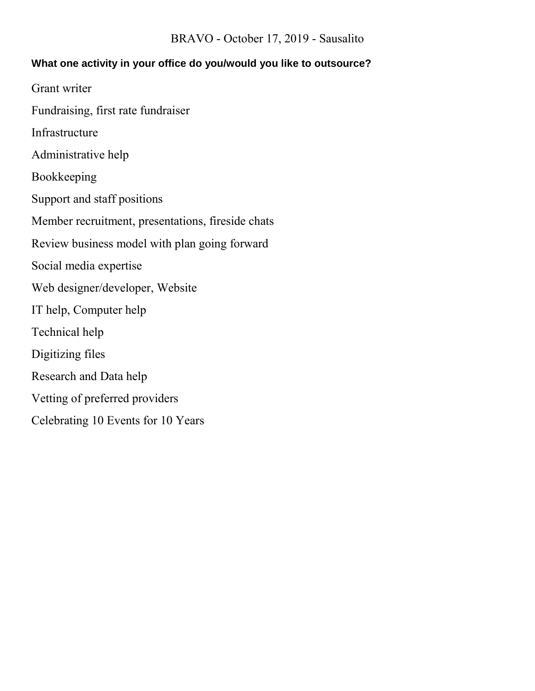#### BRAVO - October 17, 2019 - Sausalito

#### **What one activity in your office do you/would you like to outsource?**

- Grant writer
- Fundraising, first rate fundraiser
- Infrastructure
- Administrative help
- Bookkeeping
- Support and staff positions
- Member recruitment, presentations, fireside chats
- Review business model with plan going forward
- Social media expertise
- Web designer/developer, Website
- IT help, Computer help
- Technical help
- Digitizing files
- Research and Data help
- Vetting of preferred providers
- Celebrating 10 Events for 10 Years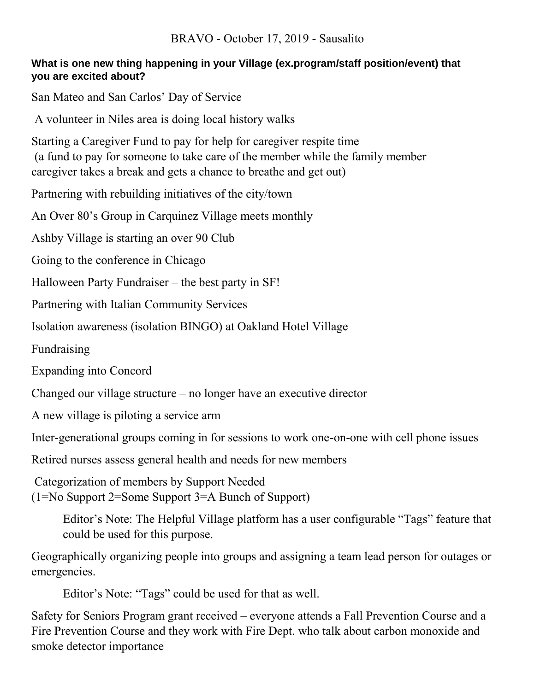### **What is one new thing happening in your Village (ex.program/staff position/event) that you are excited about?**

San Mateo and San Carlos' Day of Service

A volunteer in Niles area is doing local history walks

Starting a Caregiver Fund to pay for help for caregiver respite time (a fund to pay for someone to take care of the member while the family member caregiver takes a break and gets a chance to breathe and get out)

Partnering with rebuilding initiatives of the city/town

An Over 80's Group in Carquinez Village meets monthly

Ashby Village is starting an over 90 Club

Going to the conference in Chicago

Halloween Party Fundraiser – the best party in SF!

Partnering with Italian Community Services

Isolation awareness (isolation BINGO) at Oakland Hotel Village

Fundraising

Expanding into Concord

Changed our village structure – no longer have an executive director

A new village is piloting a service arm

Inter-generational groups coming in for sessions to work one-on-one with cell phone issues

Retired nurses assess general health and needs for new members

Categorization of members by Support Needed (1=No Support 2=Some Support 3=A Bunch of Support)

> Editor's Note: The Helpful Village platform has a user configurable "Tags" feature that could be used for this purpose.

Geographically organizing people into groups and assigning a team lead person for outages or emergencies.

Editor's Note: "Tags" could be used for that as well.

Safety for Seniors Program grant received – everyone attends a Fall Prevention Course and a Fire Prevention Course and they work with Fire Dept. who talk about carbon monoxide and smoke detector importance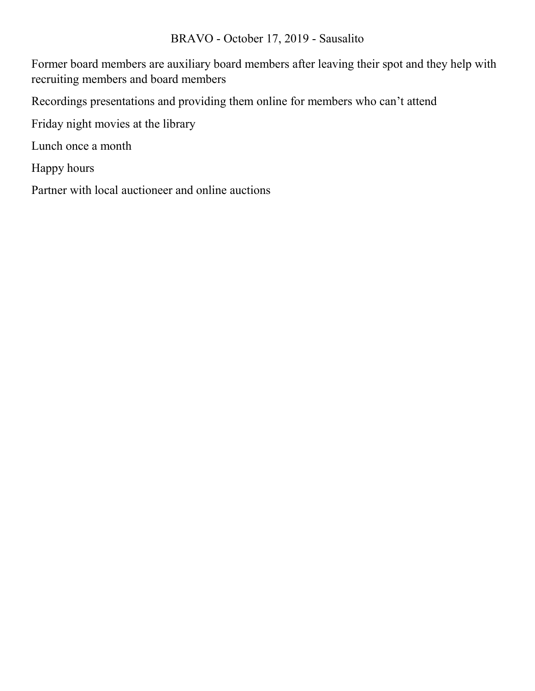### BRAVO - October 17, 2019 - Sausalito

Former board members are auxiliary board members after leaving their spot and they help with recruiting members and board members

Recordings presentations and providing them online for members who can't attend

Friday night movies at the library

Lunch once a month

Happy hours

Partner with local auctioneer and online auctions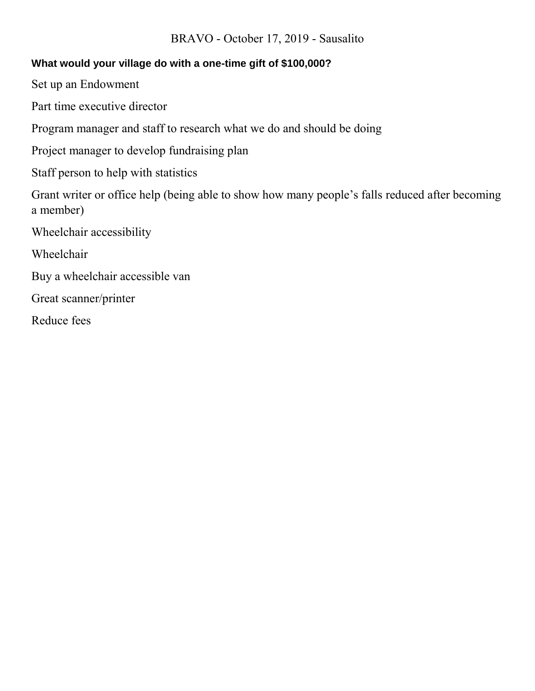### BRAVO - October 17, 2019 - Sausalito

## **What would your village do with a one-time gift of \$100,000?**

Set up an Endowment

Part time executive director

Program manager and staff to research what we do and should be doing

Project manager to develop fundraising plan

Staff person to help with statistics

Grant writer or office help (being able to show how many people's falls reduced after becoming a member)

Wheelchair accessibility

Wheelchair

Buy a wheelchair accessible van

Great scanner/printer

Reduce fees